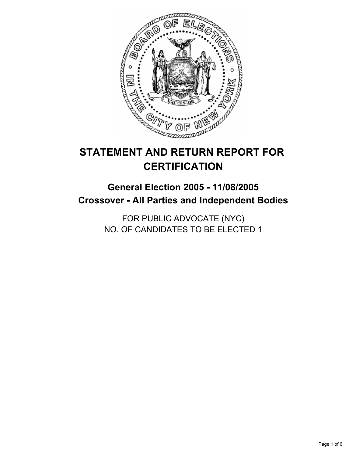

# **STATEMENT AND RETURN REPORT FOR CERTIFICATION**

# **General Election 2005 - 11/08/2005 Crossover - All Parties and Independent Bodies**

FOR PUBLIC ADVOCATE (NYC) NO. OF CANDIDATES TO BE ELECTED 1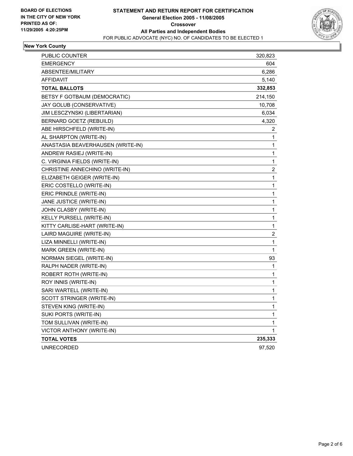

# **New York County**

| PUBLIC COUNTER                    | 320,823        |
|-----------------------------------|----------------|
| <b>EMERGENCY</b>                  | 604            |
| ABSENTEE/MILITARY                 | 6,286          |
| AFFIDAVIT                         | 5,140          |
| <b>TOTAL BALLOTS</b>              | 332,853        |
| BETSY F GOTBAUM (DEMOCRATIC)      | 214,150        |
| JAY GOLUB (CONSERVATIVE)          | 10,708         |
| JIM LESCZYNSKI (LIBERTARIAN)      | 6,034          |
| BERNARD GOETZ (REBUILD)           | 4,320          |
| ABE HIRSCHFELD (WRITE-IN)         | 2              |
| AL SHARPTON (WRITE-IN)            | 1              |
| ANASTASIA BEAVERHAUSEN (WRITE-IN) | 1              |
| ANDREW RASIEJ (WRITE-IN)          | 1              |
| C. VIRGINIA FIELDS (WRITE-IN)     | 1              |
| CHRISTINE ANNECHINO (WRITE-IN)    | 2              |
| ELIZABETH GEIGER (WRITE-IN)       | 1              |
| ERIC COSTELLO (WRITE-IN)          | 1              |
| ERIC PRINDLE (WRITE-IN)           | 1              |
| JANE JUSTICE (WRITE-IN)           | 1              |
| JOHN CLASBY (WRITE-IN)            | 1              |
| KELLY PURSELL (WRITE-IN)          | 1              |
| KITTY CARLISE-HART (WRITE-IN)     | 1              |
| LAIRD MAGUIRE (WRITE-IN)          | $\overline{c}$ |
| LIZA MINNELLI (WRITE-IN)          | $\mathbf{1}$   |
| MARK GREEN (WRITE-IN)             | $\mathbf{1}$   |
| NORMAN SIEGEL (WRITE-IN)          | 93             |
| RALPH NADER (WRITE-IN)            | 1              |
| ROBERT ROTH (WRITE-IN)            | $\mathbf{1}$   |
| ROY INNIS (WRITE-IN)              | 1              |
| SARI WARTELL (WRITE-IN)           | 1              |
| SCOTT STRINGER (WRITE-IN)         | 1              |
| STEVEN KING (WRITE-IN)            | 1              |
| SUKI PORTS (WRITE-IN)             | 1              |
| TOM SULLIVAN (WRITE-IN)           | 1              |
| VICTOR ANTHONY (WRITE-IN)         | 1              |
| <b>TOTAL VOTES</b>                | 235,333        |
| <b>UNRECORDED</b>                 | 97,520         |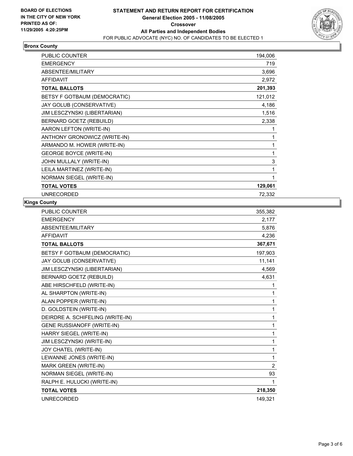

# **Bronx County**

| PUBLIC COUNTER                  | 194,006 |
|---------------------------------|---------|
| <b>EMERGENCY</b>                | 719     |
| ABSENTEE/MILITARY               | 3,696   |
| <b>AFFIDAVIT</b>                | 2,972   |
| <b>TOTAL BALLOTS</b>            | 201,393 |
| BETSY F GOTBAUM (DEMOCRATIC)    | 121,012 |
| JAY GOLUB (CONSERVATIVE)        | 4,186   |
| JIM LESCZYNSKI (LIBERTARIAN)    | 1,516   |
| BERNARD GOETZ (REBUILD)         | 2,338   |
| AARON LEFTON (WRITE-IN)         |         |
| ANTHONY GRONOWICZ (WRITE-IN)    |         |
| ARMANDO M. HOWER (WRITE-IN)     |         |
| <b>GEORGE BOYCE (WRITE-IN)</b>  |         |
| JOHN MULLALY (WRITE-IN)         | 3       |
| LEILA MARTINEZ (WRITE-IN)       |         |
| <b>NORMAN SIEGEL (WRITE-IN)</b> |         |
| <b>TOTAL VOTES</b>              | 129,061 |
| <b>UNRECORDED</b>               | 72,332  |

#### **Kings County**

| <b>PUBLIC COUNTER</b>             | 355,382        |
|-----------------------------------|----------------|
| <b>EMERGENCY</b>                  | 2,177          |
| ABSENTEE/MILITARY                 | 5,876          |
| <b>AFFIDAVIT</b>                  | 4,236          |
| <b>TOTAL BALLOTS</b>              | 367,671        |
| BETSY F GOTBAUM (DEMOCRATIC)      | 197,903        |
| JAY GOLUB (CONSERVATIVE)          | 11,141         |
| JIM LESCZYNSKI (LIBERTARIAN)      | 4,569          |
| <b>BERNARD GOETZ (REBUILD)</b>    | 4,631          |
| ABE HIRSCHFELD (WRITE-IN)         | 1              |
| AL SHARPTON (WRITE-IN)            | 1              |
| ALAN POPPER (WRITE-IN)            | 1              |
| D. GOLDSTEIN (WRITE-IN)           | 1              |
| DEIRDRE A. SCHIFELING (WRITE-IN)  | 1              |
| <b>GENE RUSSIANOFF (WRITE-IN)</b> | 1              |
| HARRY SIEGEL (WRITE-IN)           | 1              |
| JIM LESCZYNSKI (WRITE-IN)         | 1              |
| JOY CHATEL (WRITE-IN)             | 1              |
| LEWANNE JONES (WRITE-IN)          | 1              |
| MARK GREEN (WRITE-IN)             | $\overline{2}$ |
| NORMAN SIEGEL (WRITE-IN)          | 93             |
| RALPH E. HULUCKI (WRITE-IN)       | 1              |
| <b>TOTAL VOTES</b>                | 218,350        |
| <b>UNRECORDED</b>                 | 149,321        |
|                                   |                |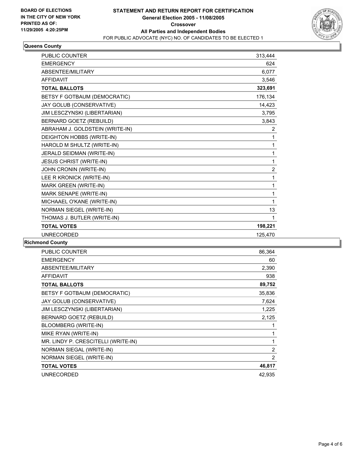

# **Queens County**

| <b>PUBLIC COUNTER</b>           | 313,444        |  |
|---------------------------------|----------------|--|
| <b>EMERGENCY</b>                | 624            |  |
| ABSENTEE/MILITARY               | 6,077          |  |
| <b>AFFIDAVIT</b>                | 3,546          |  |
| <b>TOTAL BALLOTS</b>            | 323,691        |  |
| BETSY F GOTBAUM (DEMOCRATIC)    | 176,134        |  |
| JAY GOLUB (CONSERVATIVE)        | 14,423         |  |
| JIM LESCZYNSKI (LIBERTARIAN)    | 3,795          |  |
| BERNARD GOETZ (REBUILD)         | 3,843          |  |
| ABRAHAM J. GOLDSTEIN (WRITE-IN) | $\overline{2}$ |  |
| DEIGHTON HOBBS (WRITE-IN)       | 1              |  |
| HAROLD M SHULTZ (WRITE-IN)      | 1              |  |
| JERALD SEIDMAN (WRITE-IN)       | 1              |  |
| <b>JESUS CHRIST (WRITE-IN)</b>  | 1              |  |
| JOHN CRONIN (WRITE-IN)          | $\overline{2}$ |  |
| LEE R KRONICK (WRITE-IN)        | 1              |  |
| MARK GREEN (WRITE-IN)           | 1              |  |
| MARK SENAPE (WRITE-IN)          | 1              |  |
| MICHAAEL O'KANE (WRITE-IN)      | 1              |  |
| NORMAN SIEGEL (WRITE-IN)        | 13             |  |
| THOMAS J. BUTLER (WRITE-IN)     | 1              |  |
| <b>TOTAL VOTES</b>              | 198,221        |  |
| <b>UNRECORDED</b>               | 125,470        |  |

### **Richmond County**

| PUBLIC COUNTER                      | 86,364         |
|-------------------------------------|----------------|
| <b>EMERGENCY</b>                    | 60             |
| ABSENTEE/MILITARY                   | 2,390          |
| <b>AFFIDAVIT</b>                    | 938            |
| <b>TOTAL BALLOTS</b>                | 89,752         |
| BETSY F GOTBAUM (DEMOCRATIC)        | 35,836         |
| JAY GOLUB (CONSERVATIVE)            | 7,624          |
| JIM LESCZYNSKI (LIBERTARIAN)        | 1,225          |
| BERNARD GOETZ (REBUILD)             | 2,125          |
| <b>BLOOMBERG (WRITE-IN)</b>         |                |
| MIKE RYAN (WRITE-IN)                |                |
| MR. LINDY P. CRESCITELLI (WRITE-IN) |                |
| NORMAN SIEGAL (WRITE-IN)            | $\overline{2}$ |
| NORMAN SIEGEL (WRITE-IN)            | 2              |
| <b>TOTAL VOTES</b>                  | 46,817         |
| <b>UNRECORDED</b>                   | 42,935         |
|                                     |                |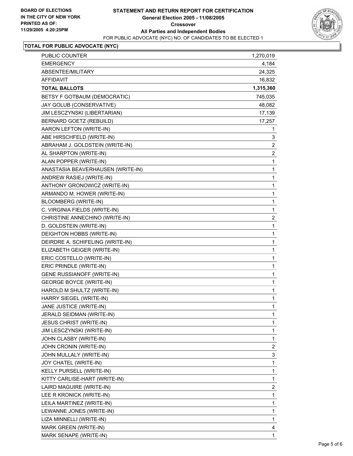

#### **TOTAL FOR PUBLIC ADVOCATE (NYC)**

| PUBLIC COUNTER                    | 1,270,019               |
|-----------------------------------|-------------------------|
| <b>EMERGENCY</b>                  | 4,184                   |
| ABSENTEE/MILITARY                 | 24,325                  |
| <b>AFFIDAVIT</b>                  | 16,832                  |
| <b>TOTAL BALLOTS</b>              | 1,315,360               |
| BETSY F GOTBAUM (DEMOCRATIC)      | 745,035                 |
| JAY GOLUB (CONSERVATIVE)          | 48,082                  |
| JIM LESCZYNSKI (LIBERTARIAN)      | 17,139                  |
| BERNARD GOETZ (REBUILD)           | 17,257                  |
| AARON LEFTON (WRITE-IN)           | 1                       |
| ABE HIRSCHFELD (WRITE-IN)         | 3                       |
| ABRAHAM J. GOLDSTEIN (WRITE-IN)   | $\overline{c}$          |
| AL SHARPTON (WRITE-IN)            | $\overline{c}$          |
| ALAN POPPER (WRITE-IN)            | $\mathbf 1$             |
| ANASTASIA BEAVERHAUSEN (WRITE-IN) | 1                       |
| ANDREW RASIEJ (WRITE-IN)          | 1                       |
| ANTHONY GRONOWICZ (WRITE-IN)      | $\mathbf 1$             |
| ARMANDO M. HOWER (WRITE-IN)       | 1                       |
| BLOOMBERG (WRITE-IN)              | 1                       |
| C. VIRGINIA FIELDS (WRITE-IN)     | $\mathbf 1$             |
| CHRISTINE ANNECHINO (WRITE-IN)    | $\overline{c}$          |
| D. GOLDSTEIN (WRITE-IN)           | 1                       |
| DEIGHTON HOBBS (WRITE-IN)         | $\mathbf{1}$            |
| DEIRDRE A. SCHIFELING (WRITE-IN)  | 1                       |
| ELIZABETH GEIGER (WRITE-IN)       | 1                       |
| ERIC COSTELLO (WRITE-IN)          | 1                       |
| ERIC PRINDLE (WRITE-IN)           | 1                       |
| GENE RUSSIANOFF (WRITE-IN)        | 1                       |
| <b>GEORGE BOYCE (WRITE-IN)</b>    | $\mathbf 1$             |
| HAROLD M SHULTZ (WRITE-IN)        | 1                       |
| HARRY SIEGEL (WRITE-IN)           | 1                       |
| JANE JUSTICE (WRITE-IN)           | 1                       |
| JERALD SEIDMAN (WRITE-IN)         | 1                       |
| <b>JESUS CHRIST (WRITE-IN)</b>    | 1                       |
| JIM LESCZYNSKI (WRITE-IN)         | 1                       |
| JOHN CLASBY (WRITE-IN)            | $\mathbf 1$             |
| JOHN CRONIN (WRITE-IN)            | $\overline{\mathbf{c}}$ |
| JOHN MULLALY (WRITE-IN)           | 3                       |
| JOY CHATEL (WRITE-IN)             | 1                       |
| KELLY PURSELL (WRITE-IN)          | 1                       |
| KITTY CARLISE-HART (WRITE-IN)     | $\mathbf 1$             |
| LAIRD MAGUIRE (WRITE-IN)          | $\overline{\mathbf{c}}$ |
| LEE R KRONICK (WRITE-IN)          | 1                       |
| LEILA MARTINEZ (WRITE-IN)         | $\mathbf{1}$            |
| LEWANNE JONES (WRITE-IN)          | 1                       |
| LIZA MINNELLI (WRITE-IN)          | 1                       |
| MARK GREEN (WRITE-IN)             | 4                       |
| MARK SENAPE (WRITE-IN)            | 1                       |